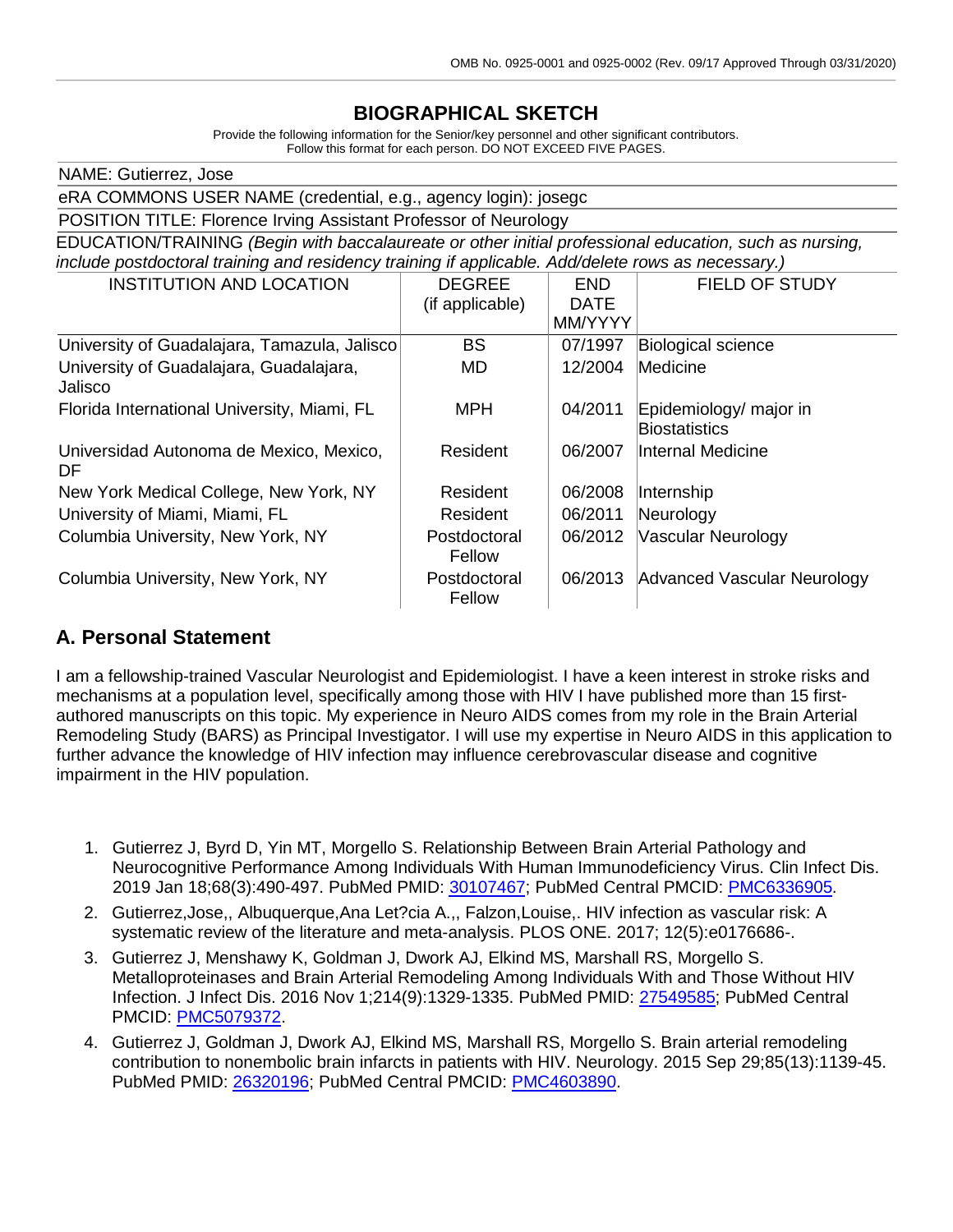## **BIOGRAPHICAL SKETCH**

Provide the following information for the Senior/key personnel and other significant contributors. Follow this format for each person. DO NOT EXCEED FIVE PAGES.

| NAME: Gutierrez, Jose                                                                                  |                        |             |                                                |  |  |  |
|--------------------------------------------------------------------------------------------------------|------------------------|-------------|------------------------------------------------|--|--|--|
| eRA COMMONS USER NAME (credential, e.g., agency login): josegc                                         |                        |             |                                                |  |  |  |
| POSITION TITLE: Florence Irving Assistant Professor of Neurology                                       |                        |             |                                                |  |  |  |
| EDUCATION/TRAINING (Begin with baccalaureate or other initial professional education, such as nursing, |                        |             |                                                |  |  |  |
| include postdoctoral training and residency training if applicable. Add/delete rows as necessary.)     |                        |             |                                                |  |  |  |
| <b>INSTITUTION AND LOCATION</b>                                                                        | <b>DEGREE</b>          | <b>END</b>  | <b>FIELD OF STUDY</b>                          |  |  |  |
|                                                                                                        | (if applicable)        | <b>DATE</b> |                                                |  |  |  |
|                                                                                                        |                        | MM/YYYY     |                                                |  |  |  |
| University of Guadalajara, Tamazula, Jalisco                                                           | <b>BS</b>              | 07/1997     | Biological science                             |  |  |  |
| University of Guadalajara, Guadalajara,<br>Jalisco                                                     | MD                     | 12/2004     | Medicine                                       |  |  |  |
| Florida International University, Miami, FL                                                            | <b>MPH</b>             | 04/2011     | Epidemiology/ major in<br><b>Biostatistics</b> |  |  |  |
| Universidad Autonoma de Mexico, Mexico,<br>DF                                                          | Resident               | 06/2007     | lInternal Medicine                             |  |  |  |
| New York Medical College, New York, NY                                                                 | Resident               | 06/2008     | Internship                                     |  |  |  |
| University of Miami, Miami, FL                                                                         | Resident               | 06/2011     | Neurology                                      |  |  |  |
| Columbia University, New York, NY                                                                      | Postdoctoral<br>Fellow | 06/2012     | Vascular Neurology                             |  |  |  |
| Columbia University, New York, NY                                                                      | Postdoctoral<br>Fellow | 06/2013     | Advanced Vascular Neurology                    |  |  |  |

### **A. Personal Statement**

I am a fellowship-trained Vascular Neurologist and Epidemiologist. I have a keen interest in stroke risks and mechanisms at a population level, specifically among those with HIV I have published more than 15 firstauthored manuscripts on this topic. My experience in Neuro AIDS comes from my role in the Brain Arterial Remodeling Study (BARS) as Principal Investigator. I will use my expertise in Neuro AIDS in this application to further advance the knowledge of HIV infection may influence cerebrovascular disease and cognitive impairment in the HIV population.

- 1. Gutierrez J, Byrd D, Yin MT, Morgello S. Relationship Between Brain Arterial Pathology and Neurocognitive Performance Among Individuals With Human Immunodeficiency Virus. Clin Infect Dis. 2019 Jan 18;68(3):490-497. PubMed PMID: [30107467;](http://www.ncbi.nlm.nih.gov/pubmed/30107467/) PubMed Central PMCID: [PMC6336905.](http://www.ncbi.nlm.nih.gov/pmc/articles/PMC6336905/)
- 2. Gutierrez,Jose,, Albuquerque,Ana Let?cia A.,, Falzon,Louise,. HIV infection as vascular risk: A systematic review of the literature and meta-analysis. PLOS ONE. 2017; 12(5):e0176686-.
- 3. Gutierrez J, Menshawy K, Goldman J, Dwork AJ, Elkind MS, Marshall RS, Morgello S. Metalloproteinases and Brain Arterial Remodeling Among Individuals With and Those Without HIV Infection. J Infect Dis. 2016 Nov 1;214(9):1329-1335. PubMed PMID: [27549585;](http://www.ncbi.nlm.nih.gov/pubmed/27549585/) PubMed Central PMCID: [PMC5079372.](http://www.ncbi.nlm.nih.gov/pmc/articles/PMC5079372/)
- 4. Gutierrez J, Goldman J, Dwork AJ, Elkind MS, Marshall RS, Morgello S. Brain arterial remodeling contribution to nonembolic brain infarcts in patients with HIV. Neurology. 2015 Sep 29;85(13):1139-45. PubMed PMID: [26320196;](http://www.ncbi.nlm.nih.gov/pubmed/26320196/) PubMed Central PMCID: [PMC4603890.](http://www.ncbi.nlm.nih.gov/pmc/articles/PMC4603890/)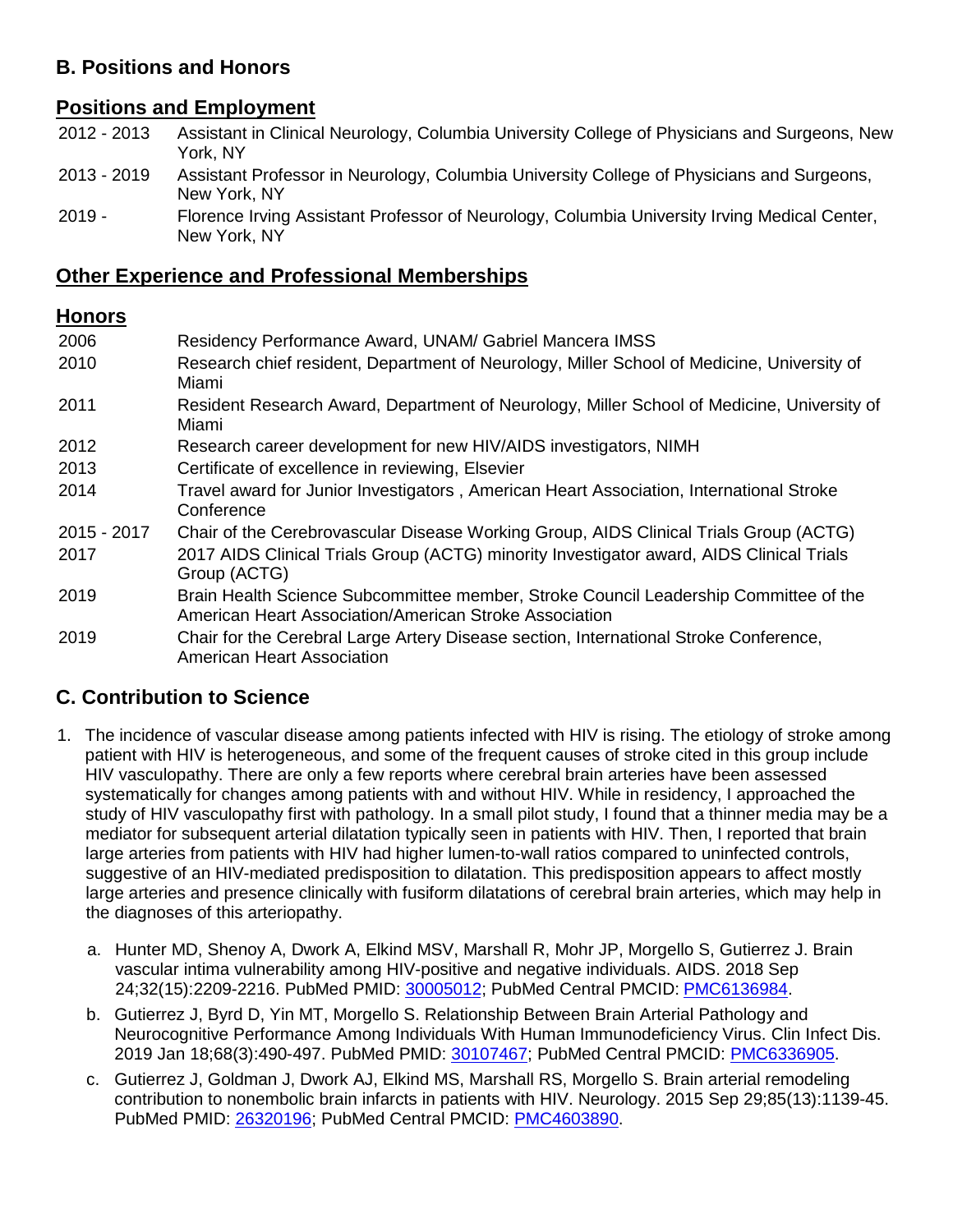# **B. Positions and Honors**

# **Positions and Employment**

| 2012 - 2013 Assistant in Clinical Neurology, Columbia University College of Physicians and Surgeons, New |
|----------------------------------------------------------------------------------------------------------|
| York. NY                                                                                                 |

- 2013 2019 Assistant Professor in Neurology, Columbia University College of Physicians and Surgeons, New York, NY
- 2019 Florence Irving Assistant Professor of Neurology, Columbia University Irving Medical Center, New York, NY

### **Other Experience and Professional Memberships**

#### **Honors**

| 2006        | Residency Performance Award, UNAM/ Gabriel Mancera IMSS                                                                                        |
|-------------|------------------------------------------------------------------------------------------------------------------------------------------------|
| 2010        | Research chief resident, Department of Neurology, Miller School of Medicine, University of<br>Miami                                            |
| 2011        | Resident Research Award, Department of Neurology, Miller School of Medicine, University of<br>Miami                                            |
| 2012        | Research career development for new HIV/AIDS investigators, NIMH                                                                               |
| 2013        | Certificate of excellence in reviewing, Elsevier                                                                                               |
| 2014        | Travel award for Junior Investigators, American Heart Association, International Stroke<br>Conference                                          |
| 2015 - 2017 | Chair of the Cerebrovascular Disease Working Group, AIDS Clinical Trials Group (ACTG)                                                          |
| 2017        | 2017 AIDS Clinical Trials Group (ACTG) minority Investigator award, AIDS Clinical Trials<br>Group (ACTG)                                       |
| 2019        | Brain Health Science Subcommittee member, Stroke Council Leadership Committee of the<br>American Heart Association/American Stroke Association |
| 2019        | Chair for the Cerebral Large Artery Disease section, International Stroke Conference,<br><b>American Heart Association</b>                     |

# **C. Contribution to Science**

- 1. The incidence of vascular disease among patients infected with HIV is rising. The etiology of stroke among patient with HIV is heterogeneous, and some of the frequent causes of stroke cited in this group include HIV vasculopathy. There are only a few reports where cerebral brain arteries have been assessed systematically for changes among patients with and without HIV. While in residency, I approached the study of HIV vasculopathy first with pathology. In a small pilot study, I found that a thinner media may be a mediator for subsequent arterial dilatation typically seen in patients with HIV. Then, I reported that brain large arteries from patients with HIV had higher lumen-to-wall ratios compared to uninfected controls, suggestive of an HIV-mediated predisposition to dilatation. This predisposition appears to affect mostly large arteries and presence clinically with fusiform dilatations of cerebral brain arteries, which may help in the diagnoses of this arteriopathy.
	- a. Hunter MD, Shenoy A, Dwork A, Elkind MSV, Marshall R, Mohr JP, Morgello S, Gutierrez J. Brain vascular intima vulnerability among HIV-positive and negative individuals. AIDS. 2018 Sep 24;32(15):2209-2216. PubMed PMID: [30005012;](http://www.ncbi.nlm.nih.gov/pubmed/30005012/) PubMed Central PMCID: [PMC6136984.](http://www.ncbi.nlm.nih.gov/pmc/articles/PMC6136984/)
	- b. Gutierrez J, Byrd D, Yin MT, Morgello S. Relationship Between Brain Arterial Pathology and Neurocognitive Performance Among Individuals With Human Immunodeficiency Virus. Clin Infect Dis. 2019 Jan 18;68(3):490-497. PubMed PMID: [30107467;](http://www.ncbi.nlm.nih.gov/pubmed/30107467/) PubMed Central PMCID: [PMC6336905.](http://www.ncbi.nlm.nih.gov/pmc/articles/PMC6336905/)
	- c. Gutierrez J, Goldman J, Dwork AJ, Elkind MS, Marshall RS, Morgello S. Brain arterial remodeling contribution to nonembolic brain infarcts in patients with HIV. Neurology. 2015 Sep 29;85(13):1139-45. PubMed PMID: [26320196;](http://www.ncbi.nlm.nih.gov/pubmed/26320196/) PubMed Central PMCID: [PMC4603890.](http://www.ncbi.nlm.nih.gov/pmc/articles/PMC4603890/)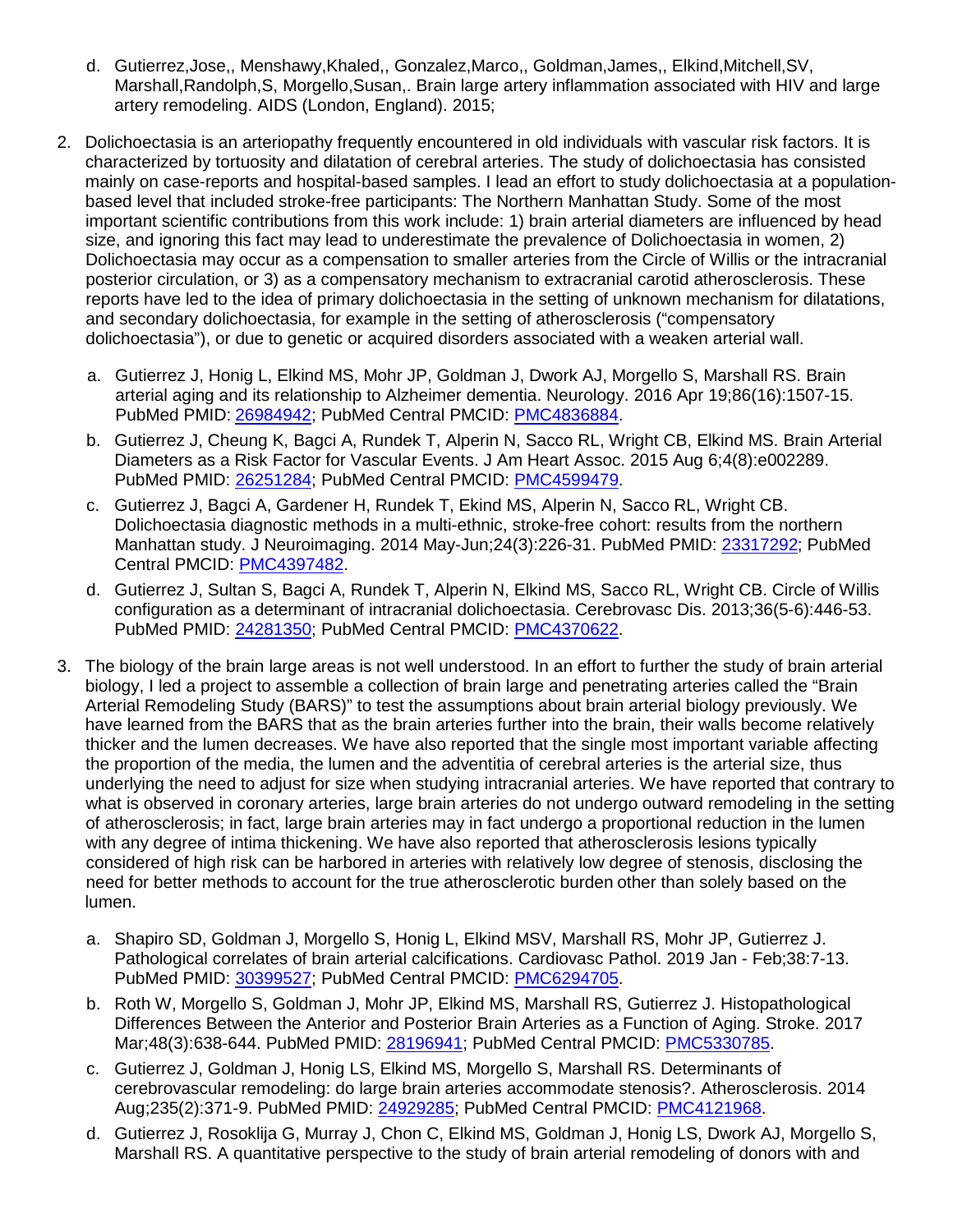- d. Gutierrez,Jose,, Menshawy,Khaled,, Gonzalez,Marco,, Goldman,James,, Elkind,Mitchell,SV, Marshall,Randolph,S, Morgello,Susan,. Brain large artery inflammation associated with HIV and large artery remodeling. AIDS (London, England). 2015;
- 2. Dolichoectasia is an arteriopathy frequently encountered in old individuals with vascular risk factors. It is characterized by tortuosity and dilatation of cerebral arteries. The study of dolichoectasia has consisted mainly on case-reports and hospital-based samples. I lead an effort to study dolichoectasia at a populationbased level that included stroke-free participants: The Northern Manhattan Study. Some of the most important scientific contributions from this work include: 1) brain arterial diameters are influenced by head size, and ignoring this fact may lead to underestimate the prevalence of Dolichoectasia in women, 2) Dolichoectasia may occur as a compensation to smaller arteries from the Circle of Willis or the intracranial posterior circulation, or 3) as a compensatory mechanism to extracranial carotid atherosclerosis. These reports have led to the idea of primary dolichoectasia in the setting of unknown mechanism for dilatations, and secondary dolichoectasia, for example in the setting of atherosclerosis ("compensatory dolichoectasia"), or due to genetic or acquired disorders associated with a weaken arterial wall.
	- a. Gutierrez J, Honig L, Elkind MS, Mohr JP, Goldman J, Dwork AJ, Morgello S, Marshall RS. Brain arterial aging and its relationship to Alzheimer dementia. Neurology. 2016 Apr 19;86(16):1507-15. PubMed PMID: [26984942;](http://www.ncbi.nlm.nih.gov/pubmed/26984942/) PubMed Central PMCID: [PMC4836884.](http://www.ncbi.nlm.nih.gov/pmc/articles/PMC4836884/)
	- b. Gutierrez J, Cheung K, Bagci A, Rundek T, Alperin N, Sacco RL, Wright CB, Elkind MS. Brain Arterial Diameters as a Risk Factor for Vascular Events. J Am Heart Assoc. 2015 Aug 6;4(8):e002289. PubMed PMID: [26251284;](http://www.ncbi.nlm.nih.gov/pubmed/26251284/) PubMed Central PMCID: [PMC4599479.](http://www.ncbi.nlm.nih.gov/pmc/articles/PMC4599479/)
	- c. Gutierrez J, Bagci A, Gardener H, Rundek T, Ekind MS, Alperin N, Sacco RL, Wright CB. Dolichoectasia diagnostic methods in a multi-ethnic, stroke-free cohort: results from the northern Manhattan study. J Neuroimaging. 2014 May-Jun;24(3):226-31. PubMed PMID: [23317292;](http://www.ncbi.nlm.nih.gov/pubmed/23317292/) PubMed Central PMCID: [PMC4397482.](http://www.ncbi.nlm.nih.gov/pmc/articles/PMC4397482/)
	- d. Gutierrez J, Sultan S, Bagci A, Rundek T, Alperin N, Elkind MS, Sacco RL, Wright CB. Circle of Willis configuration as a determinant of intracranial dolichoectasia. Cerebrovasc Dis. 2013;36(5-6):446-53. PubMed PMID: [24281350;](http://www.ncbi.nlm.nih.gov/pubmed/24281350/) PubMed Central PMCID: [PMC4370622.](http://www.ncbi.nlm.nih.gov/pmc/articles/PMC4370622/)
- 3. The biology of the brain large areas is not well understood. In an effort to further the study of brain arterial biology, I led a project to assemble a collection of brain large and penetrating arteries called the "Brain Arterial Remodeling Study (BARS)" to test the assumptions about brain arterial biology previously. We have learned from the BARS that as the brain arteries further into the brain, their walls become relatively thicker and the lumen decreases. We have also reported that the single most important variable affecting the proportion of the media, the lumen and the adventitia of cerebral arteries is the arterial size, thus underlying the need to adjust for size when studying intracranial arteries. We have reported that contrary to what is observed in coronary arteries, large brain arteries do not undergo outward remodeling in the setting of atherosclerosis; in fact, large brain arteries may in fact undergo a proportional reduction in the lumen with any degree of intima thickening. We have also reported that atherosclerosis lesions typically considered of high risk can be harbored in arteries with relatively low degree of stenosis, disclosing the need for better methods to account for the true atherosclerotic burden other than solely based on the lumen.
	- a. Shapiro SD, Goldman J, Morgello S, Honig L, Elkind MSV, Marshall RS, Mohr JP, Gutierrez J. Pathological correlates of brain arterial calcifications. Cardiovasc Pathol. 2019 Jan - Feb;38:7-13. PubMed PMID: [30399527;](http://www.ncbi.nlm.nih.gov/pubmed/30399527/) PubMed Central PMCID: [PMC6294705.](http://www.ncbi.nlm.nih.gov/pmc/articles/PMC6294705/)
	- b. Roth W, Morgello S, Goldman J, Mohr JP, Elkind MS, Marshall RS, Gutierrez J. Histopathological Differences Between the Anterior and Posterior Brain Arteries as a Function of Aging. Stroke. 2017 Mar;48(3):638-644. PubMed PMID: [28196941;](http://www.ncbi.nlm.nih.gov/pubmed/28196941/) PubMed Central PMCID: [PMC5330785.](http://www.ncbi.nlm.nih.gov/pmc/articles/PMC5330785/)
	- c. Gutierrez J, Goldman J, Honig LS, Elkind MS, Morgello S, Marshall RS. Determinants of cerebrovascular remodeling: do large brain arteries accommodate stenosis?. Atherosclerosis. 2014 Aug:235(2):371-9. PubMed PMID: [24929285;](http://www.ncbi.nlm.nih.gov/pubmed/24929285/) PubMed Central PMCID: [PMC4121968.](http://www.ncbi.nlm.nih.gov/pmc/articles/PMC4121968/)
	- d. Gutierrez J, Rosoklija G, Murray J, Chon C, Elkind MS, Goldman J, Honig LS, Dwork AJ, Morgello S, Marshall RS. A quantitative perspective to the study of brain arterial remodeling of donors with and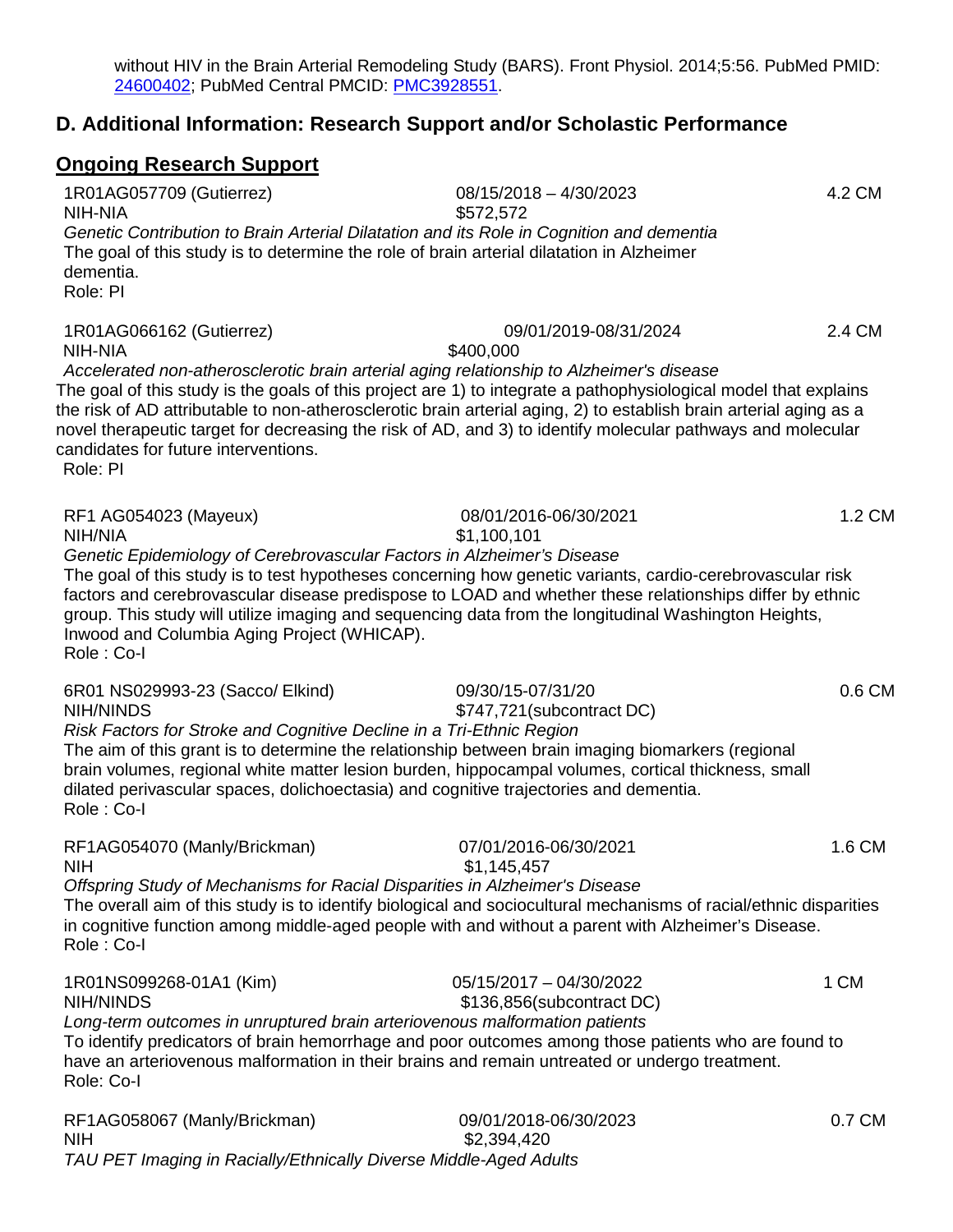without HIV in the Brain Arterial Remodeling Study (BARS). Front Physiol. 2014;5:56. PubMed PMID: [24600402;](http://www.ncbi.nlm.nih.gov/pubmed/24600402/) PubMed Central PMCID: [PMC3928551.](http://www.ncbi.nlm.nih.gov/pmc/articles/PMC3928551/)

# **D. Additional Information: Research Support and/or Scholastic Performance**

# **Ongoing Research Support**

| 1R01AG057709 (Gutierrez)<br>NIH-NIA                                                                                                                                                                                                                                                                                                                                                                                                            | 08/15/2018 - 4/30/2023<br>\$572,572                  | 4.2 CM |
|------------------------------------------------------------------------------------------------------------------------------------------------------------------------------------------------------------------------------------------------------------------------------------------------------------------------------------------------------------------------------------------------------------------------------------------------|------------------------------------------------------|--------|
| Genetic Contribution to Brain Arterial Dilatation and its Role in Cognition and dementia<br>The goal of this study is to determine the role of brain arterial dilatation in Alzheimer<br>dementia.<br>Role: PI                                                                                                                                                                                                                                 |                                                      |        |
| 1R01AG066162 (Gutierrez)<br>NIH-NIA<br>Accelerated non-atherosclerotic brain arterial aging relationship to Alzheimer's disease<br>The goal of this study is the goals of this project are 1) to integrate a pathophysiological model that explains<br>the risk of AD attributable to non-atherosclerotic brain arterial aging, 2) to establish brain arterial aging as a                                                                      | 09/01/2019-08/31/2024<br>\$400,000                   | 2.4 CM |
| novel therapeutic target for decreasing the risk of AD, and 3) to identify molecular pathways and molecular<br>candidates for future interventions.<br>Role: PI                                                                                                                                                                                                                                                                                |                                                      |        |
| RF1 AG054023 (Mayeux)<br>NIH/NIA<br>Genetic Epidemiology of Cerebrovascular Factors in Alzheimer's Disease<br>The goal of this study is to test hypotheses concerning how genetic variants, cardio-cerebrovascular risk<br>factors and cerebrovascular disease predispose to LOAD and whether these relationships differ by ethnic<br>group. This study will utilize imaging and sequencing data from the longitudinal Washington Heights,     | 08/01/2016-06/30/2021<br>\$1,100,101                 | 1.2 CM |
| Inwood and Columbia Aging Project (WHICAP).<br>Role: Co-I                                                                                                                                                                                                                                                                                                                                                                                      |                                                      |        |
| 6R01 NS029993-23 (Sacco/ Elkind)<br><b>NIH/NINDS</b><br>Risk Factors for Stroke and Cognitive Decline in a Tri-Ethnic Region<br>The aim of this grant is to determine the relationship between brain imaging biomarkers (regional<br>brain volumes, regional white matter lesion burden, hippocampal volumes, cortical thickness, small<br>dilated perivascular spaces, dolichoectasia) and cognitive trajectories and dementia.<br>Role: Co-I | 09/30/15-07/31/20<br>\$747,721 (subcontract DC)      | 0.6 CM |
| RF1AG054070 (Manly/Brickman)<br><b>NIH</b><br>Offspring Study of Mechanisms for Racial Disparities in Alzheimer's Disease<br>The overall aim of this study is to identify biological and sociocultural mechanisms of racial/ethnic disparities<br>in cognitive function among middle-aged people with and without a parent with Alzheimer's Disease.<br>Role: Co-I                                                                             | 07/01/2016-06/30/2021<br>\$1,145,457                 | 1.6 CM |
| 1R01NS099268-01A1 (Kim)<br><b>NIH/NINDS</b><br>Long-term outcomes in unruptured brain arteriovenous malformation patients<br>To identify predicators of brain hemorrhage and poor outcomes among those patients who are found to<br>have an arteriovenous malformation in their brains and remain untreated or undergo treatment.<br>Role: Co-I                                                                                                | 05/15/2017 - 04/30/2022<br>\$136,856(subcontract DC) | 1 CM   |
| RF1AG058067 (Manly/Brickman)                                                                                                                                                                                                                                                                                                                                                                                                                   | 09/01/2018-06/30/2023                                | 0.7 CM |

RF1AG058067 (Manly/Brickman)<br>NIH  $$2,394,420$ *TAU PET Imaging in Racially/Ethnically Diverse Middle-Aged Adults*